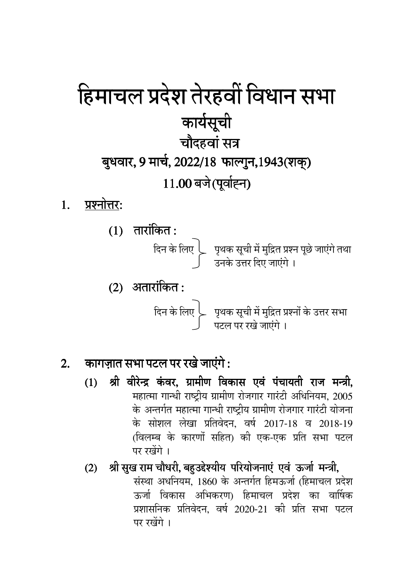# हिमाचल प्रदेश तेरहवीं विधान सभा कार्यसूची चौदहवां सत्र बुधवार, 9 मार्च, 2022/18 फाल्गुन, 1943 (शक्) 11.00 बजे (पूर्वाह्न)

- प्रश्नोत्तर:  $\mathbf{1}$ .
	- $(1)$  तारांकित:  $(2)$  अतारांकित:

दिन के लिए  $\Big\}$  पृथक सूची में मुद्रित प्रश्नों के उत्तर सभा $\int$ पटल पर रखे जाएंगे ।

#### कागज़ात सभा पटल पर रखे जाएंगे:  $\overline{2}$ .

- श्री वीरेन्द्र कंवर, ग्रामीण विकास एवं पंचायती राज मन्त्री,  $(1)$ महात्मा गान्धी राष्ट्रीय ग्रामीण रोजगार गारंटी अधिनियम, 2005 के अन्तर्गत महात्मा गान्धी राष्ट्रीय ग्रामीण रोजगार गारंटी योजना के सोशल लेखा प्रतिवेदन, वर्ष 2017-18 व 2018-19 (विलम्ब के कारणों सहित) की एक-एक प्रति सभा पटल पर रखेंगे।
- (2) श्री सुख राम चौधरी, बहुउद्देश्यीय परियोजनाएं एवं ऊर्जा मन्त्री, संस्था अधनियम, 1860 के अन्तर्गत हिमऊर्जा (हिमाचल प्रदेश ऊर्जा विकास अभिकरण) हिमाचल प्रदेश का वार्षिक प्रशासनिक प्रतिवेदन. वर्ष 2020-21 की प्रति सभा पटल पर रखेंगे।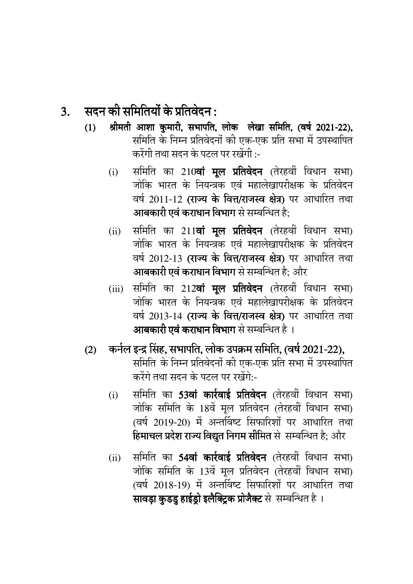### $3.$  सदन की समितियों के प्रतिवेदन :

- (1) श्रीमती आशा कुमारी, सभापति, लोक लेखा समिति, (वर्ष 2021-22), समिति के निम्न प्रतिवेदनों की एक-एक प्रति सभा में उपस्थापित करेंगी तथा सदन के पटल पर रखेंगी :-
	- $(i)$  समिति का 210वां मल प्रतिवेदन (तेरहवीं विधान सभा) जोकि भारत के नियन्त्रक एवं महालेखापरीक्षक के प्रतिवेदन वर्ष 2011-12 (राज्य के वित्त/राजस्व क्षेत्र) पर आधारित तथा **आबकारी एवं कराधान विभाग** से सम्बन्धित है;
	- (ii) समिति का 211**वां मूल प्रतिवेदन** (तेरहवीं विधान सभा) जोकि भारत के नियन्त्रक एवं महालेखापरीक्षक के प्रतिवेदन वर्ष 2012-13 (राज्य के वित्त/राजस्व क्षेत्र) पर आधारित तथा **आबकारी एवं कराधान विभाग** से सम्बन्धित है; और
	- (iii) समिति का 212**वां मूल प्रतिवेदन** (तेरहवीं विधान सभा) जोकि भारत के नियन्त्रक एवं महालेखापरीक्षक के प्रतिवेदन वर्ष 2013-14 (राज्य के वित्त/राजस्व क्षेत्र) पर आधारित तथा आबकारी एवं कराधान विभाग से सम्बन्धित है ।

#### (2) कर्नल इन्द्र सिंह, सभापति, लोक उपक्रम समिति, (वर्ष 2021-22),

- समिति के निम्न प्रतिवेदनों की एक-एक प्रति सभा में उपस्थापित करेंगे तथा सदन के पटल पर रखेंगे:-
	- (i) समिति का 53वां कार्रवाई प्रतिवेदन (तेरहवीं विधान सभा) जोकि समिति के 18वें मूल प्रतिवेदन (तेरहवीं विधान सभा) (वर्ष 2019-20) में अन्तविष्ट सिफारिशों पर आधारित तथा **हिमाचल प्रदेश राज्य विद्युत निगम सीमित** से सम्बन्धित है; और
	- (ii) समिति का **54वां कार्रवाई प्रतिवेदन** (तेरहवीं विधान सभा) जोकि समिति के 13वें मूल प्रतिवेदन (तेरहवीं विधान सभा) (वर्ष 2018-19) में अन्तविष्ट सिफारिशों पर आधारित तथा सावड़ा कुडडु हाईड्रो इलैक्ट्रिक प्रोजैक्ट से सम्बन्धित है ।